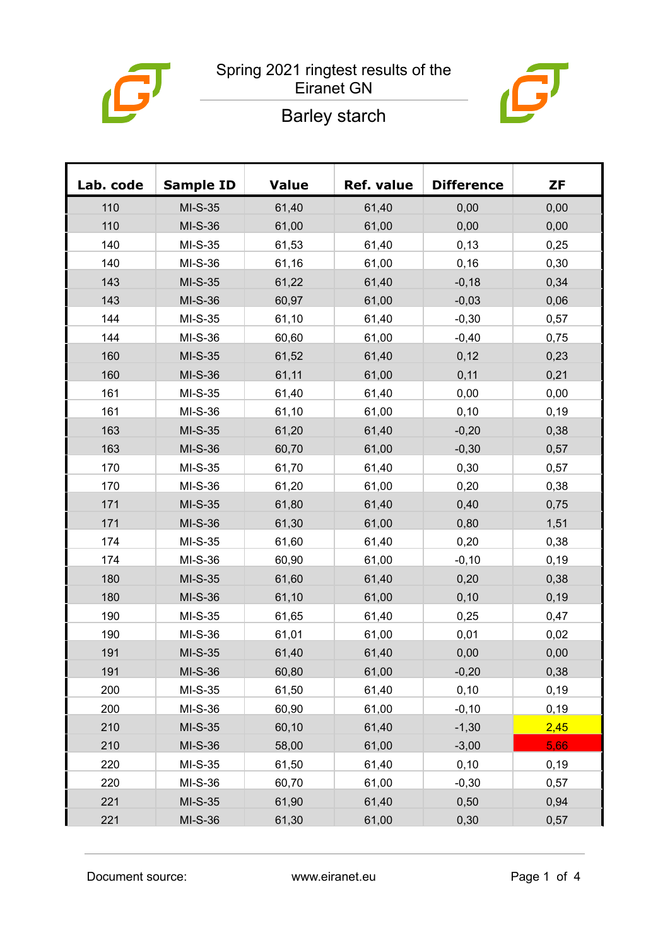

### Spring 2021 ringtest results of the Eiranet GN



# Barley starch

| Lab. code | <b>Sample ID</b> | <b>Value</b> | <b>Ref. value</b> | <b>Difference</b> | <b>ZF</b> |
|-----------|------------------|--------------|-------------------|-------------------|-----------|
| 110       | $MI-S-35$        | 61,40        | 61,40             | 0,00              | 0,00      |
| 110       | MI-S-36          | 61,00        | 61,00             | 0,00              | 0,00      |
| 140       | $MI-S-35$        | 61,53        | 61,40             | 0, 13             | 0,25      |
| 140       | MI-S-36          | 61,16        | 61,00             | 0,16              | 0,30      |
| 143       | $MI-S-35$        | 61,22        | 61,40             | $-0,18$           | 0,34      |
| 143       | MI-S-36          | 60,97        | 61,00             | $-0,03$           | 0,06      |
| 144       | $MI-S-35$        | 61,10        | 61,40             | $-0,30$           | 0,57      |
| 144       | MI-S-36          | 60,60        | 61,00             | $-0,40$           | 0,75      |
| 160       | MI-S-35          | 61,52        | 61,40             | 0,12              | 0,23      |
| 160       | $MI-S-36$        | 61,11        | 61,00             | 0,11              | 0,21      |
| 161       | MI-S-35          | 61,40        | 61,40             | 0,00              | 0,00      |
| 161       | MI-S-36          | 61,10        | 61,00             | 0,10              | 0, 19     |
| 163       | $MI-S-35$        | 61,20        | 61,40             | $-0,20$           | 0,38      |
| 163       | MI-S-36          | 60,70        | 61,00             | $-0,30$           | 0,57      |
| 170       | $MI-S-35$        | 61,70        | 61,40             | 0,30              | 0,57      |
| 170       | MI-S-36          | 61,20        | 61,00             | 0,20              | 0,38      |
| 171       | $MI-S-35$        | 61,80        | 61,40             | 0,40              | 0,75      |
| 171       | $MI-S-36$        | 61,30        | 61,00             | 0,80              | 1,51      |
| 174       | $MI-S-35$        | 61,60        | 61,40             | 0,20              | 0,38      |
| 174       | $MI-S-36$        | 60,90        | 61,00             | $-0,10$           | 0, 19     |
| 180       | $MI-S-35$        | 61,60        | 61,40             | 0,20              | 0,38      |
| 180       | MI-S-36          | 61,10        | 61,00             | 0, 10             | 0, 19     |
| 190       | $MI-S-35$        | 61,65        | 61,40             | 0,25              | 0,47      |
| 190       | $MI-S-36$        | 61,01        | 61,00             | 0,01              | 0,02      |
| 191       | MI-S-35          | 61,40        | 61,40             | 0,00              | 0,00      |
| 191       | MI-S-36          | 60,80        | 61,00             | $-0,20$           | 0,38      |
| 200       | $MI-S-35$        | 61,50        | 61,40             | 0, 10             | 0, 19     |
| 200       | MI-S-36          | 60,90        | 61,00             | $-0,10$           | 0, 19     |
| 210       | $MI-S-35$        | 60,10        | 61,40             | $-1,30$           | 2,45      |
| 210       | MI-S-36          | 58,00        | 61,00             | $-3,00$           | 5,66      |
| 220       | MI-S-35          | 61,50        | 61,40             | 0, 10             | 0, 19     |
| 220       | MI-S-36          | 60,70        | 61,00             | $-0,30$           | 0,57      |
| 221       | $MI-S-35$        | 61,90        | 61,40             | 0,50              | 0,94      |
| 221       | MI-S-36          | 61,30        | 61,00             | 0,30              | 0,57      |

Document source: www.eiranet.eu Page 1 of 4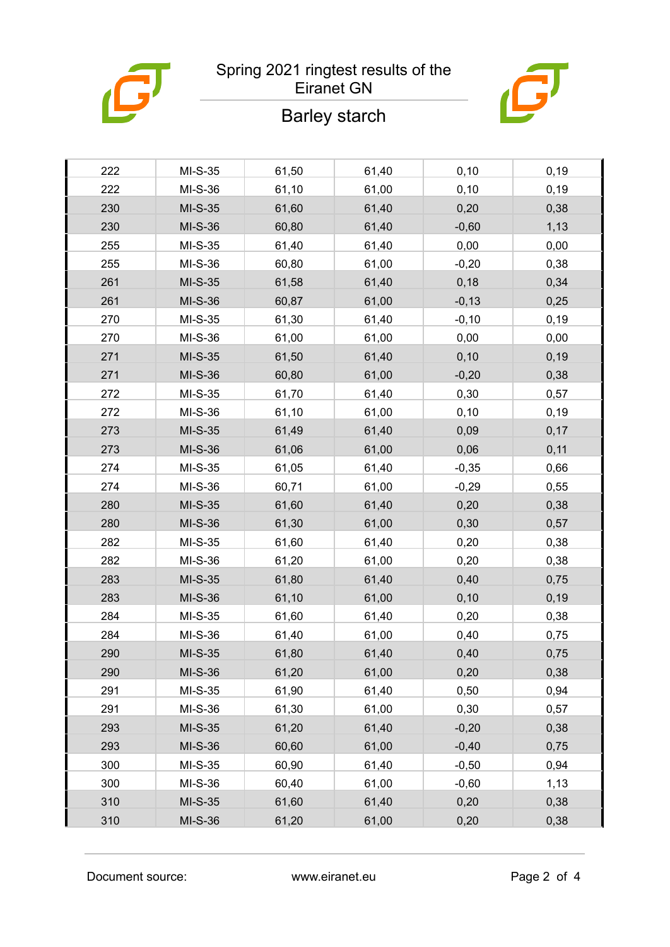#### Spring 2021 ringtest results of the Eiranet GN

## Barley starch



| 222 | $MI-S-35$ | 61,50 | 61,40 | 0, 10   | 0, 19 |
|-----|-----------|-------|-------|---------|-------|
| 222 | MI-S-36   | 61,10 | 61,00 | 0, 10   | 0, 19 |
| 230 | $MI-S-35$ | 61,60 | 61,40 | 0,20    | 0,38  |
| 230 | MI-S-36   | 60,80 | 61,40 | $-0,60$ | 1,13  |
| 255 | MI-S-35   | 61,40 | 61,40 | 0,00    | 0,00  |
| 255 | MI-S-36   | 60,80 | 61,00 | $-0,20$ | 0,38  |
| 261 | $MI-S-35$ | 61,58 | 61,40 | 0,18    | 0,34  |
| 261 | MI-S-36   | 60,87 | 61,00 | $-0,13$ | 0,25  |
| 270 | MI-S-35   | 61,30 | 61,40 | $-0,10$ | 0, 19 |
| 270 | MI-S-36   | 61,00 | 61,00 | 0,00    | 0,00  |
| 271 | $MI-S-35$ | 61,50 | 61,40 | 0,10    | 0,19  |
| 271 | MI-S-36   | 60,80 | 61,00 | $-0,20$ | 0,38  |
| 272 | $MI-S-35$ | 61,70 | 61,40 | 0,30    | 0,57  |
| 272 | MI-S-36   | 61,10 | 61,00 | 0,10    | 0,19  |
| 273 | $MI-S-35$ | 61,49 | 61,40 | 0,09    | 0,17  |
| 273 | MI-S-36   | 61,06 | 61,00 | 0,06    | 0,11  |
| 274 | MI-S-35   | 61,05 | 61,40 | $-0,35$ | 0,66  |
| 274 | MI-S-36   | 60,71 | 61,00 | $-0,29$ | 0,55  |
| 280 | MI-S-35   | 61,60 | 61,40 | 0,20    | 0,38  |
| 280 | MI-S-36   | 61,30 | 61,00 | 0,30    | 0,57  |
| 282 | $MI-S-35$ | 61,60 | 61,40 | 0,20    | 0,38  |
| 282 | MI-S-36   | 61,20 | 61,00 | 0,20    | 0,38  |
| 283 | $MI-S-35$ | 61,80 | 61,40 | 0,40    | 0,75  |
| 283 | MI-S-36   | 61,10 | 61,00 | 0, 10   | 0,19  |
| 284 | MI-S-35   | 61,60 | 61,40 | 0,20    | 0,38  |
| 284 | MI-S-36   | 61,40 | 61,00 | 0,40    | 0,75  |
| 290 | MI-S-35   | 61,80 | 61,40 | 0,40    | 0,75  |
| 290 | MI-S-36   | 61,20 | 61,00 | 0,20    | 0,38  |
| 291 | $MI-S-35$ | 61,90 | 61,40 | 0,50    | 0,94  |
| 291 | MI-S-36   | 61,30 | 61,00 | 0,30    | 0,57  |
| 293 | $MI-S-35$ | 61,20 | 61,40 | $-0,20$ | 0,38  |
| 293 | MI-S-36   | 60,60 | 61,00 | $-0,40$ | 0,75  |
| 300 | $MI-S-35$ | 60,90 | 61,40 | $-0,50$ | 0,94  |
| 300 | MI-S-36   | 60,40 | 61,00 | $-0,60$ | 1,13  |
| 310 | $MI-S-35$ | 61,60 | 61,40 | 0,20    | 0,38  |
| 310 | MI-S-36   | 61,20 | 61,00 | 0,20    | 0,38  |
|     |           |       |       |         |       |

Document source: www.eiranet.eu Page 2 of 4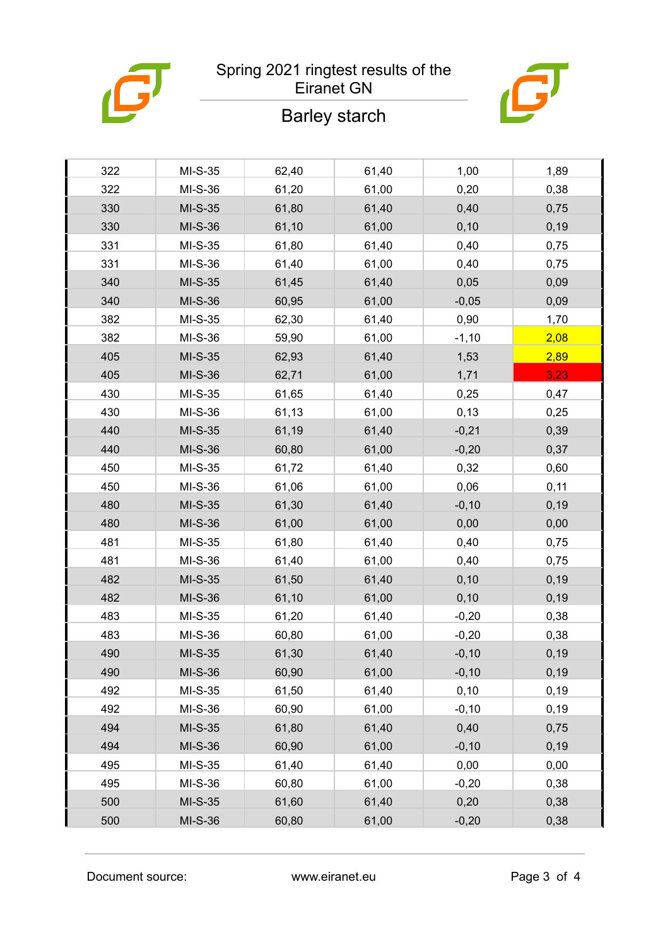#### Spring 2021 ringtest results of the Eiranet GN

## Barley starch



| 322<br>1,00<br>1,89<br>$MI-S-35$<br>62,40<br>61,40<br>322<br>61,00<br>MI-S-36<br>61,20<br>0,20<br>0,38<br>330<br>$MI-S-35$<br>61,80<br>61,40<br>0,40<br>0,75<br>330<br>$MI-S-36$<br>61,10<br>61,00<br>0, 10<br>0,19<br>331<br>$MI-S-35$<br>61,80<br>61,40<br>0,40<br>0,75<br>331<br>MI-S-36<br>61,40<br>61,00<br>0,40<br>0,75<br>340<br>$MI-S-35$<br>61,45<br>61,40<br>0,05<br>0,09<br>340<br>MI-S-36<br>60,95<br>61,00<br>$-0,05$<br>0,09<br>382<br>61,40<br>1,70<br>$MI-S-35$<br>62,30<br>0,90<br>382<br>MI-S-36<br>61,00<br>$-1,10$<br>2,08<br>59,90<br>405<br>$MI-S-35$<br>62,93<br>61,40<br>2,89<br>1,53<br>405<br>3,23<br>$MI-S-36$<br>62,71<br>61,00<br>1,71<br>430<br>$MI-S-35$<br>61,65<br>61,40<br>0,25<br>0,47<br>430<br>MI-S-36<br>61,13<br>61,00<br>0,13<br>0,25<br>440<br>$MI-S-35$<br>61,19<br>61,40<br>$-0,21$<br>0,39<br>440<br>MI-S-36<br>60,80<br>61,00<br>$-0,20$<br>0,37<br>450<br>0,60<br>$MI-S-35$<br>61,72<br>61,40<br>0,32<br>450<br>MI-S-36<br>61,06<br>61,00<br>0,06<br>0,11<br>480<br>$MI-S-35$<br>61,30<br>61,40<br>$-0,10$<br>0,19<br>480<br>61,00<br>$MI-S-36$<br>61,00<br>0,00<br>0,00<br>481<br>0,40<br>$MI-S-35$<br>61,80<br>61,40<br>0,75<br>481<br>MI-S-36<br>61,40<br>61,00<br>0,40<br>0,75<br>482<br>$MI-S-35$<br>61,50<br>61,40<br>0,10<br>0,19<br>482<br>MI-S-36<br>61,10<br>61,00<br>0, 10<br>0,19<br>483<br>$MI-S-35$<br>61,20<br>61,40<br>$-0,20$<br>0,38<br>483<br>MI-S-36<br>61,00<br>0,38<br>60,80<br>$-0,20$<br>490<br>MI-S-35<br>61,30<br>61,40<br>$-0,10$<br>0, 19<br>61,00<br>0, 19<br>490<br>MI-S-36<br>60,90<br>$-0, 10$<br>492<br>$MI-S-35$<br>61,50<br>61,40<br>0, 10<br>0, 19<br>492<br>61,00<br>MI-S-36<br>60,90<br>$-0,10$<br>0, 19<br>494<br>$MI-S-35$<br>61,80<br>61,40<br>0,40<br>0,75<br>60,90<br>61,00<br>494<br>MI-S-36<br>$-0, 10$<br>0, 19<br>0,00<br>0,00<br>495<br>$MI-S-35$<br>61,40<br>61,40<br>0,38<br>495<br>MI-S-36<br>60,80<br>61,00<br>$-0,20$<br>61,60<br>500<br>MI-S-35<br>61,40<br>0,20<br>0,38<br>500<br>60,80<br>61,00<br>$-0,20$<br>MI-S-36<br>0,38 |  |  |  |
|-------------------------------------------------------------------------------------------------------------------------------------------------------------------------------------------------------------------------------------------------------------------------------------------------------------------------------------------------------------------------------------------------------------------------------------------------------------------------------------------------------------------------------------------------------------------------------------------------------------------------------------------------------------------------------------------------------------------------------------------------------------------------------------------------------------------------------------------------------------------------------------------------------------------------------------------------------------------------------------------------------------------------------------------------------------------------------------------------------------------------------------------------------------------------------------------------------------------------------------------------------------------------------------------------------------------------------------------------------------------------------------------------------------------------------------------------------------------------------------------------------------------------------------------------------------------------------------------------------------------------------------------------------------------------------------------------------------------------------------------------------------------------------------------------------------------------------------------------------------------------------------------------------------------------------------------------------------------------------------------------------------------------------------|--|--|--|
|                                                                                                                                                                                                                                                                                                                                                                                                                                                                                                                                                                                                                                                                                                                                                                                                                                                                                                                                                                                                                                                                                                                                                                                                                                                                                                                                                                                                                                                                                                                                                                                                                                                                                                                                                                                                                                                                                                                                                                                                                                     |  |  |  |
|                                                                                                                                                                                                                                                                                                                                                                                                                                                                                                                                                                                                                                                                                                                                                                                                                                                                                                                                                                                                                                                                                                                                                                                                                                                                                                                                                                                                                                                                                                                                                                                                                                                                                                                                                                                                                                                                                                                                                                                                                                     |  |  |  |
|                                                                                                                                                                                                                                                                                                                                                                                                                                                                                                                                                                                                                                                                                                                                                                                                                                                                                                                                                                                                                                                                                                                                                                                                                                                                                                                                                                                                                                                                                                                                                                                                                                                                                                                                                                                                                                                                                                                                                                                                                                     |  |  |  |
|                                                                                                                                                                                                                                                                                                                                                                                                                                                                                                                                                                                                                                                                                                                                                                                                                                                                                                                                                                                                                                                                                                                                                                                                                                                                                                                                                                                                                                                                                                                                                                                                                                                                                                                                                                                                                                                                                                                                                                                                                                     |  |  |  |
|                                                                                                                                                                                                                                                                                                                                                                                                                                                                                                                                                                                                                                                                                                                                                                                                                                                                                                                                                                                                                                                                                                                                                                                                                                                                                                                                                                                                                                                                                                                                                                                                                                                                                                                                                                                                                                                                                                                                                                                                                                     |  |  |  |
|                                                                                                                                                                                                                                                                                                                                                                                                                                                                                                                                                                                                                                                                                                                                                                                                                                                                                                                                                                                                                                                                                                                                                                                                                                                                                                                                                                                                                                                                                                                                                                                                                                                                                                                                                                                                                                                                                                                                                                                                                                     |  |  |  |
|                                                                                                                                                                                                                                                                                                                                                                                                                                                                                                                                                                                                                                                                                                                                                                                                                                                                                                                                                                                                                                                                                                                                                                                                                                                                                                                                                                                                                                                                                                                                                                                                                                                                                                                                                                                                                                                                                                                                                                                                                                     |  |  |  |
|                                                                                                                                                                                                                                                                                                                                                                                                                                                                                                                                                                                                                                                                                                                                                                                                                                                                                                                                                                                                                                                                                                                                                                                                                                                                                                                                                                                                                                                                                                                                                                                                                                                                                                                                                                                                                                                                                                                                                                                                                                     |  |  |  |
|                                                                                                                                                                                                                                                                                                                                                                                                                                                                                                                                                                                                                                                                                                                                                                                                                                                                                                                                                                                                                                                                                                                                                                                                                                                                                                                                                                                                                                                                                                                                                                                                                                                                                                                                                                                                                                                                                                                                                                                                                                     |  |  |  |
|                                                                                                                                                                                                                                                                                                                                                                                                                                                                                                                                                                                                                                                                                                                                                                                                                                                                                                                                                                                                                                                                                                                                                                                                                                                                                                                                                                                                                                                                                                                                                                                                                                                                                                                                                                                                                                                                                                                                                                                                                                     |  |  |  |
|                                                                                                                                                                                                                                                                                                                                                                                                                                                                                                                                                                                                                                                                                                                                                                                                                                                                                                                                                                                                                                                                                                                                                                                                                                                                                                                                                                                                                                                                                                                                                                                                                                                                                                                                                                                                                                                                                                                                                                                                                                     |  |  |  |
|                                                                                                                                                                                                                                                                                                                                                                                                                                                                                                                                                                                                                                                                                                                                                                                                                                                                                                                                                                                                                                                                                                                                                                                                                                                                                                                                                                                                                                                                                                                                                                                                                                                                                                                                                                                                                                                                                                                                                                                                                                     |  |  |  |
|                                                                                                                                                                                                                                                                                                                                                                                                                                                                                                                                                                                                                                                                                                                                                                                                                                                                                                                                                                                                                                                                                                                                                                                                                                                                                                                                                                                                                                                                                                                                                                                                                                                                                                                                                                                                                                                                                                                                                                                                                                     |  |  |  |
|                                                                                                                                                                                                                                                                                                                                                                                                                                                                                                                                                                                                                                                                                                                                                                                                                                                                                                                                                                                                                                                                                                                                                                                                                                                                                                                                                                                                                                                                                                                                                                                                                                                                                                                                                                                                                                                                                                                                                                                                                                     |  |  |  |
|                                                                                                                                                                                                                                                                                                                                                                                                                                                                                                                                                                                                                                                                                                                                                                                                                                                                                                                                                                                                                                                                                                                                                                                                                                                                                                                                                                                                                                                                                                                                                                                                                                                                                                                                                                                                                                                                                                                                                                                                                                     |  |  |  |
|                                                                                                                                                                                                                                                                                                                                                                                                                                                                                                                                                                                                                                                                                                                                                                                                                                                                                                                                                                                                                                                                                                                                                                                                                                                                                                                                                                                                                                                                                                                                                                                                                                                                                                                                                                                                                                                                                                                                                                                                                                     |  |  |  |
|                                                                                                                                                                                                                                                                                                                                                                                                                                                                                                                                                                                                                                                                                                                                                                                                                                                                                                                                                                                                                                                                                                                                                                                                                                                                                                                                                                                                                                                                                                                                                                                                                                                                                                                                                                                                                                                                                                                                                                                                                                     |  |  |  |
|                                                                                                                                                                                                                                                                                                                                                                                                                                                                                                                                                                                                                                                                                                                                                                                                                                                                                                                                                                                                                                                                                                                                                                                                                                                                                                                                                                                                                                                                                                                                                                                                                                                                                                                                                                                                                                                                                                                                                                                                                                     |  |  |  |
|                                                                                                                                                                                                                                                                                                                                                                                                                                                                                                                                                                                                                                                                                                                                                                                                                                                                                                                                                                                                                                                                                                                                                                                                                                                                                                                                                                                                                                                                                                                                                                                                                                                                                                                                                                                                                                                                                                                                                                                                                                     |  |  |  |
|                                                                                                                                                                                                                                                                                                                                                                                                                                                                                                                                                                                                                                                                                                                                                                                                                                                                                                                                                                                                                                                                                                                                                                                                                                                                                                                                                                                                                                                                                                                                                                                                                                                                                                                                                                                                                                                                                                                                                                                                                                     |  |  |  |
|                                                                                                                                                                                                                                                                                                                                                                                                                                                                                                                                                                                                                                                                                                                                                                                                                                                                                                                                                                                                                                                                                                                                                                                                                                                                                                                                                                                                                                                                                                                                                                                                                                                                                                                                                                                                                                                                                                                                                                                                                                     |  |  |  |
|                                                                                                                                                                                                                                                                                                                                                                                                                                                                                                                                                                                                                                                                                                                                                                                                                                                                                                                                                                                                                                                                                                                                                                                                                                                                                                                                                                                                                                                                                                                                                                                                                                                                                                                                                                                                                                                                                                                                                                                                                                     |  |  |  |
|                                                                                                                                                                                                                                                                                                                                                                                                                                                                                                                                                                                                                                                                                                                                                                                                                                                                                                                                                                                                                                                                                                                                                                                                                                                                                                                                                                                                                                                                                                                                                                                                                                                                                                                                                                                                                                                                                                                                                                                                                                     |  |  |  |
|                                                                                                                                                                                                                                                                                                                                                                                                                                                                                                                                                                                                                                                                                                                                                                                                                                                                                                                                                                                                                                                                                                                                                                                                                                                                                                                                                                                                                                                                                                                                                                                                                                                                                                                                                                                                                                                                                                                                                                                                                                     |  |  |  |
|                                                                                                                                                                                                                                                                                                                                                                                                                                                                                                                                                                                                                                                                                                                                                                                                                                                                                                                                                                                                                                                                                                                                                                                                                                                                                                                                                                                                                                                                                                                                                                                                                                                                                                                                                                                                                                                                                                                                                                                                                                     |  |  |  |
|                                                                                                                                                                                                                                                                                                                                                                                                                                                                                                                                                                                                                                                                                                                                                                                                                                                                                                                                                                                                                                                                                                                                                                                                                                                                                                                                                                                                                                                                                                                                                                                                                                                                                                                                                                                                                                                                                                                                                                                                                                     |  |  |  |
|                                                                                                                                                                                                                                                                                                                                                                                                                                                                                                                                                                                                                                                                                                                                                                                                                                                                                                                                                                                                                                                                                                                                                                                                                                                                                                                                                                                                                                                                                                                                                                                                                                                                                                                                                                                                                                                                                                                                                                                                                                     |  |  |  |
|                                                                                                                                                                                                                                                                                                                                                                                                                                                                                                                                                                                                                                                                                                                                                                                                                                                                                                                                                                                                                                                                                                                                                                                                                                                                                                                                                                                                                                                                                                                                                                                                                                                                                                                                                                                                                                                                                                                                                                                                                                     |  |  |  |
|                                                                                                                                                                                                                                                                                                                                                                                                                                                                                                                                                                                                                                                                                                                                                                                                                                                                                                                                                                                                                                                                                                                                                                                                                                                                                                                                                                                                                                                                                                                                                                                                                                                                                                                                                                                                                                                                                                                                                                                                                                     |  |  |  |
|                                                                                                                                                                                                                                                                                                                                                                                                                                                                                                                                                                                                                                                                                                                                                                                                                                                                                                                                                                                                                                                                                                                                                                                                                                                                                                                                                                                                                                                                                                                                                                                                                                                                                                                                                                                                                                                                                                                                                                                                                                     |  |  |  |
|                                                                                                                                                                                                                                                                                                                                                                                                                                                                                                                                                                                                                                                                                                                                                                                                                                                                                                                                                                                                                                                                                                                                                                                                                                                                                                                                                                                                                                                                                                                                                                                                                                                                                                                                                                                                                                                                                                                                                                                                                                     |  |  |  |
|                                                                                                                                                                                                                                                                                                                                                                                                                                                                                                                                                                                                                                                                                                                                                                                                                                                                                                                                                                                                                                                                                                                                                                                                                                                                                                                                                                                                                                                                                                                                                                                                                                                                                                                                                                                                                                                                                                                                                                                                                                     |  |  |  |
|                                                                                                                                                                                                                                                                                                                                                                                                                                                                                                                                                                                                                                                                                                                                                                                                                                                                                                                                                                                                                                                                                                                                                                                                                                                                                                                                                                                                                                                                                                                                                                                                                                                                                                                                                                                                                                                                                                                                                                                                                                     |  |  |  |
|                                                                                                                                                                                                                                                                                                                                                                                                                                                                                                                                                                                                                                                                                                                                                                                                                                                                                                                                                                                                                                                                                                                                                                                                                                                                                                                                                                                                                                                                                                                                                                                                                                                                                                                                                                                                                                                                                                                                                                                                                                     |  |  |  |
|                                                                                                                                                                                                                                                                                                                                                                                                                                                                                                                                                                                                                                                                                                                                                                                                                                                                                                                                                                                                                                                                                                                                                                                                                                                                                                                                                                                                                                                                                                                                                                                                                                                                                                                                                                                                                                                                                                                                                                                                                                     |  |  |  |
|                                                                                                                                                                                                                                                                                                                                                                                                                                                                                                                                                                                                                                                                                                                                                                                                                                                                                                                                                                                                                                                                                                                                                                                                                                                                                                                                                                                                                                                                                                                                                                                                                                                                                                                                                                                                                                                                                                                                                                                                                                     |  |  |  |

Document source: www.eiranet.eu Page 3 of 4